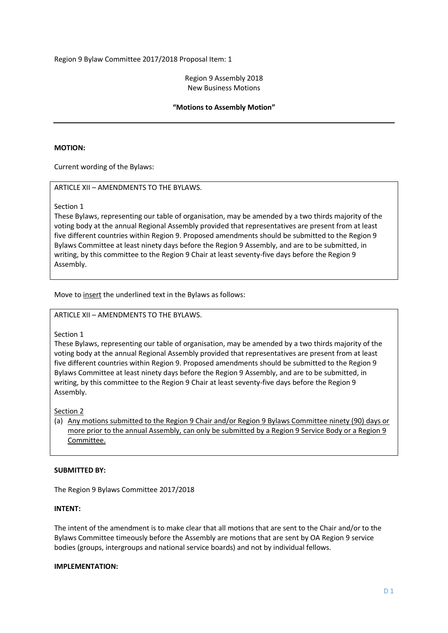#### Region 9 Assembly 2018 New Business Motions

# **"Motions to Assembly Motion"**

# **MOTION:**

Current wording of the Bylaws:

# ARTICLE XII – AMENDMENTS TO THE BYLAWS.

Section 1

These Bylaws, representing our table of organisation, may be amended by a two thirds majority of the voting body at the annual Regional Assembly provided that representatives are present from at least five different countries within Region 9. Proposed amendments should be submitted to the Region 9 Bylaws Committee at least ninety days before the Region 9 Assembly, and are to be submitted, in writing, by this committee to the Region 9 Chair at least seventy-five days before the Region 9 Assembly.

Move to insert the underlined text in the Bylaws as follows:

#### ARTICLE XII – AMENDMENTS TO THE BYLAWS.

Section 1

These Bylaws, representing our table of organisation, may be amended by a two thirds majority of the voting body at the annual Regional Assembly provided that representatives are present from at least five different countries within Region 9. Proposed amendments should be submitted to the Region 9 Bylaws Committee at least ninety days before the Region 9 Assembly, and are to be submitted, in writing, by this committee to the Region 9 Chair at least seventy-five days before the Region 9 Assembly.

Section 2

(a) Any motions submitted to the Region 9 Chair and/or Region 9 Bylaws Committee ninety (90) days or more prior to the annual Assembly, can only be submitted by a Region 9 Service Body or a Region 9 Committee.

#### **SUBMITTED BY:**

The Region 9 Bylaws Committee 2017/2018

#### **INTENT:**

The intent of the amendment is to make clear that all motions that are sent to the Chair and/or to the Bylaws Committee timeously before the Assembly are motions that are sent by OA Region 9 service bodies (groups, intergroups and national service boards) and not by individual fellows.

# **IMPLEMENTATION:**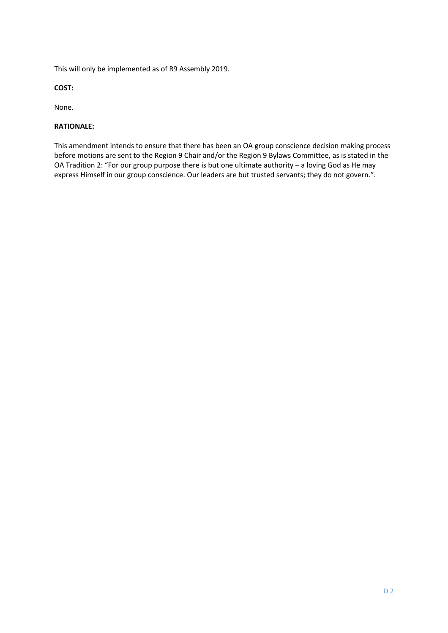This will only be implemented as of R9 Assembly 2019.

**COST:**

None.

# **RATIONALE:**

This amendment intends to ensure that there has been an OA group conscience decision making process before motions are sent to the Region 9 Chair and/or the Region 9 Bylaws Committee, as is stated in the OA Tradition 2: "For our group purpose there is but one ultimate authority – a loving God as He may express Himself in our group conscience. Our leaders are but trusted servants; they do not govern.".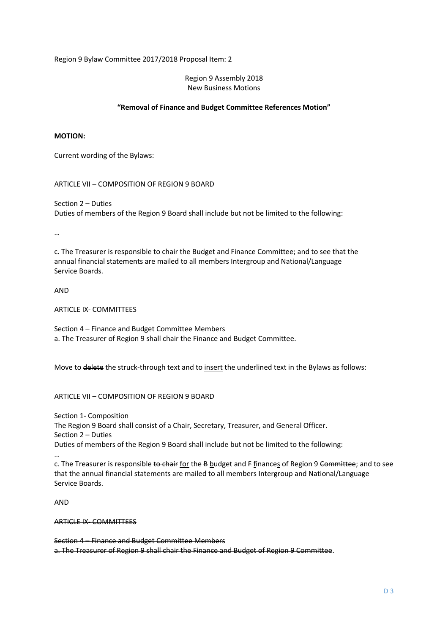#### Region 9 Assembly 2018 New Business Motions

# **"Removal of Finance and Budget Committee References Motion"**

#### **MOTION:**

Current wording of the Bylaws:

ARTICLE VII – COMPOSITION OF REGION 9 BOARD

Section 2 – Duties Duties of members of the Region 9 Board shall include but not be limited to the following:

…

c. The Treasurer is responsible to chair the Budget and Finance Committee; and to see that the annual financial statements are mailed to all members Intergroup and National/Language Service Boards.

AND

ARTICLE IX- COMMITTEES

Section 4 – Finance and Budget Committee Members a. The Treasurer of Region 9 shall chair the Finance and Budget Committee.

Move to delete the struck-through text and to insert the underlined text in the Bylaws as follows:

ARTICLE VII – COMPOSITION OF REGION 9 BOARD

Section 1- Composition

The Region 9 Board shall consist of a Chair, Secretary, Treasurer, and General Officer. Section 2 – Duties

Duties of members of the Region 9 Board shall include but not be limited to the following:

…

c. The Treasurer is responsible to chair for the B budget and F finances of Region 9 Committee; and to see that the annual financial statements are mailed to all members Intergroup and National/Language Service Boards.

AND

ARTICLE IX- COMMITTEES

Section 4 – Finance and Budget Committee Members a. The Treasurer of Region 9 shall chair the Finance and Budget of Region 9 Committee.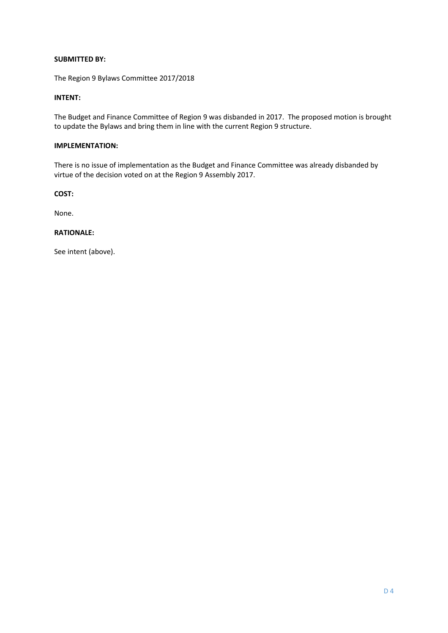# **SUBMITTED BY:**

The Region 9 Bylaws Committee 2017/2018

# **INTENT:**

The Budget and Finance Committee of Region 9 was disbanded in 2017. The proposed motion is brought to update the Bylaws and bring them in line with the current Region 9 structure.

# **IMPLEMENTATION:**

There is no issue of implementation as the Budget and Finance Committee was already disbanded by virtue of the decision voted on at the Region 9 Assembly 2017.

**COST:**

None.

## **RATIONALE:**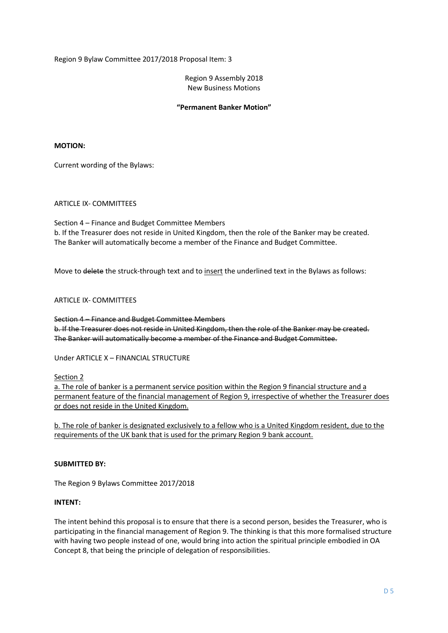Region 9 Assembly 2018 New Business Motions

#### **"Permanent Banker Motion"**

#### **MOTION:**

Current wording of the Bylaws:

# ARTICLE IX- COMMITTEES

Section 4 – Finance and Budget Committee Members b. If the Treasurer does not reside in United Kingdom, then the role of the Banker may be created. The Banker will automatically become a member of the Finance and Budget Committee.

Move to delete the struck-through text and to insert the underlined text in the Bylaws as follows:

# ARTICLE IX- COMMITTEES

Section 4 – Finance and Budget Committee Members b. If the Treasurer does not reside in United Kingdom, then the role of the Banker may be created. The Banker will automatically become a member of the Finance and Budget Committee.

Under ARTICLE X – FINANCIAL STRUCTURE

Section 2

a. The role of banker is a permanent service position within the Region 9 financial structure and a permanent feature of the financial management of Region 9, irrespective of whether the Treasurer does or does not reside in the United Kingdom.

b. The role of banker is designated exclusively to a fellow who is a United Kingdom resident, due to the requirements of the UK bank that is used for the primary Region 9 bank account.

#### **SUBMITTED BY:**

The Region 9 Bylaws Committee 2017/2018

#### **INTENT:**

The intent behind this proposal is to ensure that there is a second person, besides the Treasurer, who is participating in the financial management of Region 9. The thinking is that this more formalised structure with having two people instead of one, would bring into action the spiritual principle embodied in OA Concept 8, that being the principle of delegation of responsibilities.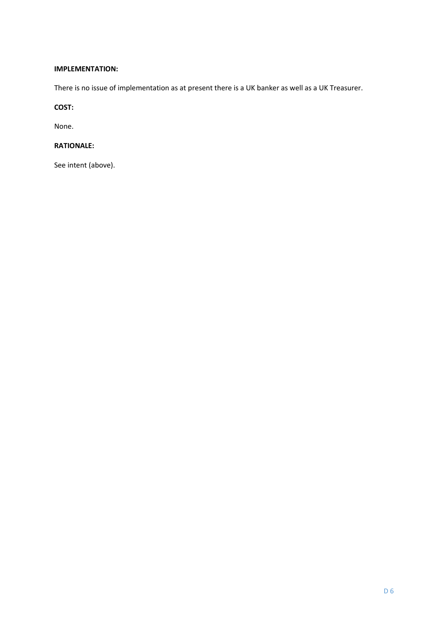# **IMPLEMENTATION:**

There is no issue of implementation as at present there is a UK banker as well as a UK Treasurer.

# **COST:**

None.

# **RATIONALE:**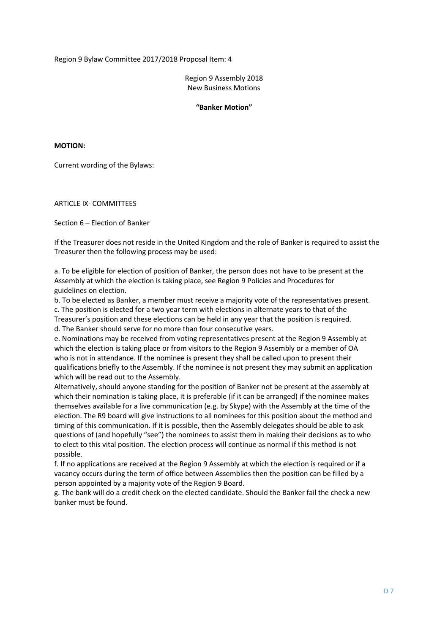Region 9 Assembly 2018 New Business Motions

**"Banker Motion"**

**MOTION:**

Current wording of the Bylaws:

ARTICLE IX- COMMITTEES

Section 6 – Election of Banker

If the Treasurer does not reside in the United Kingdom and the role of Banker is required to assist the Treasurer then the following process may be used:

a. To be eligible for election of position of Banker, the person does not have to be present at the Assembly at which the election is taking place, see Region 9 Policies and Procedures for guidelines on election.

b. To be elected as Banker, a member must receive a majority vote of the representatives present.

c. The position is elected for a two year term with elections in alternate years to that of the Treasurer's position and these elections can be held in any year that the position is required. d. The Banker should serve for no more than four consecutive years.

e. Nominations may be received from voting representatives present at the Region 9 Assembly at which the election is taking place or from visitors to the Region 9 Assembly or a member of OA who is not in attendance. If the nominee is present they shall be called upon to present their qualifications briefly to the Assembly. If the nominee is not present they may submit an application which will be read out to the Assembly.

Alternatively, should anyone standing for the position of Banker not be present at the assembly at which their nomination is taking place, it is preferable (if it can be arranged) if the nominee makes themselves available for a live communication (e.g. by Skype) with the Assembly at the time of the election. The R9 board will give instructions to all nominees for this position about the method and timing of this communication. If it is possible, then the Assembly delegates should be able to ask questions of (and hopefully "see") the nominees to assist them in making their decisions as to who to elect to this vital position. The election process will continue as normal if this method is not possible.

f. If no applications are received at the Region 9 Assembly at which the election is required or if a vacancy occurs during the term of office between Assemblies then the position can be filled by a person appointed by a majority vote of the Region 9 Board.

g. The bank will do a credit check on the elected candidate. Should the Banker fail the check a new banker must be found.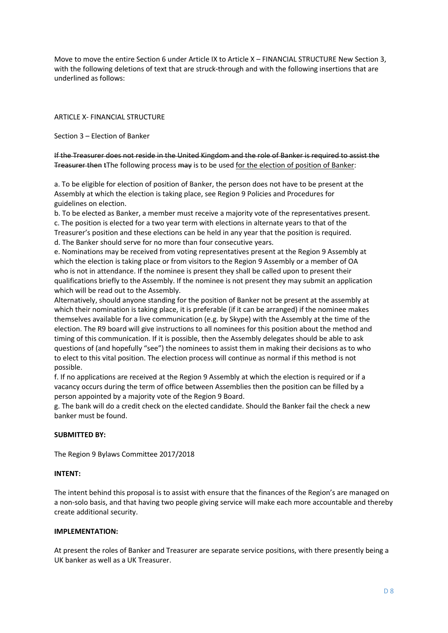Move to move the entire Section 6 under Article IX to Article X – FINANCIAL STRUCTURE New Section 3, with the following deletions of text that are struck-through and with the following insertions that are underlined as follows:

ARTICLE X- FINANCIAL STRUCTURE

Section 3 – Election of Banker

If the Treasurer does not reside in the United Kingdom and the role of Banker is required to assist the Treasurer then tThe following process may is to be used for the election of position of Banker:

a. To be eligible for election of position of Banker, the person does not have to be present at the Assembly at which the election is taking place, see Region 9 Policies and Procedures for guidelines on election.

b. To be elected as Banker, a member must receive a majority vote of the representatives present. c. The position is elected for a two year term with elections in alternate years to that of the Treasurer's position and these elections can be held in any year that the position is required.

d. The Banker should serve for no more than four consecutive years.

e. Nominations may be received from voting representatives present at the Region 9 Assembly at which the election is taking place or from visitors to the Region 9 Assembly or a member of OA who is not in attendance. If the nominee is present they shall be called upon to present their qualifications briefly to the Assembly. If the nominee is not present they may submit an application which will be read out to the Assembly.

Alternatively, should anyone standing for the position of Banker not be present at the assembly at which their nomination is taking place, it is preferable (if it can be arranged) if the nominee makes themselves available for a live communication (e.g. by Skype) with the Assembly at the time of the election. The R9 board will give instructions to all nominees for this position about the method and timing of this communication. If it is possible, then the Assembly delegates should be able to ask questions of (and hopefully "see") the nominees to assist them in making their decisions as to who to elect to this vital position. The election process will continue as normal if this method is not possible.

f. If no applications are received at the Region 9 Assembly at which the election is required or if a vacancy occurs during the term of office between Assemblies then the position can be filled by a person appointed by a majority vote of the Region 9 Board.

g. The bank will do a credit check on the elected candidate. Should the Banker fail the check a new banker must be found.

# **SUBMITTED BY:**

The Region 9 Bylaws Committee 2017/2018

# **INTENT:**

The intent behind this proposal is to assist with ensure that the finances of the Region's are managed on a non-solo basis, and that having two people giving service will make each more accountable and thereby create additional security.

#### **IMPLEMENTATION:**

At present the roles of Banker and Treasurer are separate service positions, with there presently being a UK banker as well as a UK Treasurer.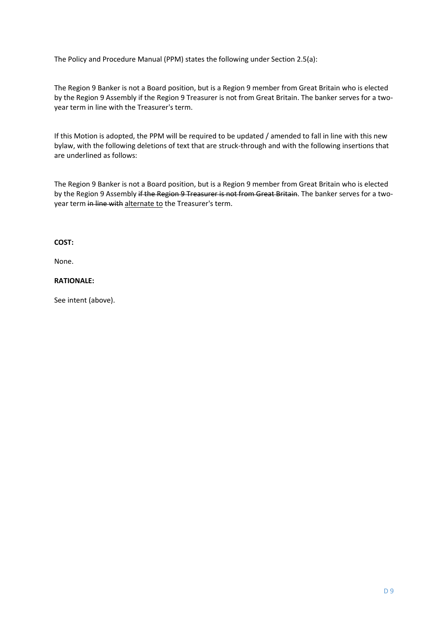The Policy and Procedure Manual (PPM) states the following under Section 2.5(a):

The Region 9 Banker is not a Board position, but is a Region 9 member from Great Britain who is elected by the Region 9 Assembly if the Region 9 Treasurer is not from Great Britain. The banker serves for a twoyear term in line with the Treasurer's term.

If this Motion is adopted, the PPM will be required to be updated / amended to fall in line with this new bylaw, with the following deletions of text that are struck-through and with the following insertions that are underlined as follows:

The Region 9 Banker is not a Board position, but is a Region 9 member from Great Britain who is elected by the Region 9 Assembly if the Region 9 Treasurer is not from Great Britain. The banker serves for a twoyear term in line with alternate to the Treasurer's term.

# **COST:**

None.

### **RATIONALE:**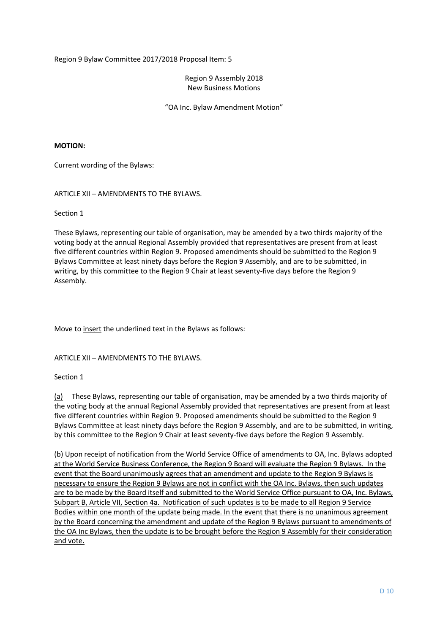#### Region 9 Assembly 2018 New Business Motions

"OA Inc. Bylaw Amendment Motion"

### **MOTION:**

Current wording of the Bylaws:

ARTICLE XII – AMENDMENTS TO THE BYLAWS.

Section 1

These Bylaws, representing our table of organisation, may be amended by a two thirds majority of the voting body at the annual Regional Assembly provided that representatives are present from at least five different countries within Region 9. Proposed amendments should be submitted to the Region 9 Bylaws Committee at least ninety days before the Region 9 Assembly, and are to be submitted, in writing, by this committee to the Region 9 Chair at least seventy-five days before the Region 9 Assembly.

Move to insert the underlined text in the Bylaws as follows:

ARTICLE XII – AMENDMENTS TO THE BYLAWS.

#### Section 1

(a) These Bylaws, representing our table of organisation, may be amended by a two thirds majority of the voting body at the annual Regional Assembly provided that representatives are present from at least five different countries within Region 9. Proposed amendments should be submitted to the Region 9 Bylaws Committee at least ninety days before the Region 9 Assembly, and are to be submitted, in writing, by this committee to the Region 9 Chair at least seventy-five days before the Region 9 Assembly.

(b) Upon receipt of notification from the World Service Office of amendments to OA, Inc. Bylaws adopted at the World Service Business Conference, the Region 9 Board will evaluate the Region 9 Bylaws. In the event that the Board unanimously agrees that an amendment and update to the Region 9 Bylaws is necessary to ensure the Region 9 Bylaws are not in conflict with the OA Inc. Bylaws, then such updates are to be made by the Board itself and submitted to the World Service Office pursuant to OA, Inc. Bylaws, Subpart B, Article VII, Section 4a. Notification of such updates is to be made to all Region 9 Service Bodies within one month of the update being made. In the event that there is no unanimous agreement by the Board concerning the amendment and update of the Region 9 Bylaws pursuant to amendments of the OA Inc Bylaws, then the update is to be brought before the Region 9 Assembly for their consideration and vote.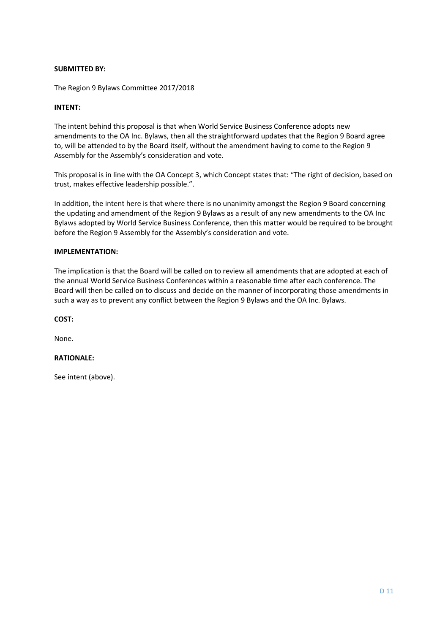# **SUBMITTED BY:**

The Region 9 Bylaws Committee 2017/2018

# **INTENT:**

The intent behind this proposal is that when World Service Business Conference adopts new amendments to the OA Inc. Bylaws, then all the straightforward updates that the Region 9 Board agree to, will be attended to by the Board itself, without the amendment having to come to the Region 9 Assembly for the Assembly's consideration and vote.

This proposal is in line with the OA Concept 3, which Concept states that: "The right of decision, based on trust, makes effective leadership possible.".

In addition, the intent here is that where there is no unanimity amongst the Region 9 Board concerning the updating and amendment of the Region 9 Bylaws as a result of any new amendments to the OA Inc Bylaws adopted by World Service Business Conference, then this matter would be required to be brought before the Region 9 Assembly for the Assembly's consideration and vote.

#### **IMPLEMENTATION:**

The implication is that the Board will be called on to review all amendments that are adopted at each of the annual World Service Business Conferences within a reasonable time after each conference. The Board will then be called on to discuss and decide on the manner of incorporating those amendments in such a way as to prevent any conflict between the Region 9 Bylaws and the OA Inc. Bylaws.

**COST:**

None.

# **RATIONALE:**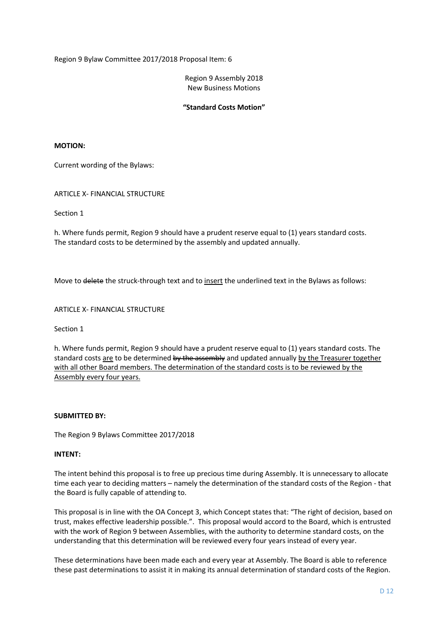Region 9 Assembly 2018 New Business Motions

#### **"Standard Costs Motion"**

### **MOTION:**

Current wording of the Bylaws:

ARTICLE X- FINANCIAL STRUCTURE

Section 1

h. Where funds permit, Region 9 should have a prudent reserve equal to (1) years standard costs. The standard costs to be determined by the assembly and updated annually.

Move to delete the struck-through text and to insert the underlined text in the Bylaws as follows:

# ARTICLE X- FINANCIAL STRUCTURE

Section 1

h. Where funds permit, Region 9 should have a prudent reserve equal to (1) years standard costs. The standard costs are to be determined by the assembly and updated annually by the Treasurer together with all other Board members. The determination of the standard costs is to be reviewed by the Assembly every four years.

#### **SUBMITTED BY:**

The Region 9 Bylaws Committee 2017/2018

#### **INTENT:**

The intent behind this proposal is to free up precious time during Assembly. It is unnecessary to allocate time each year to deciding matters – namely the determination of the standard costs of the Region - that the Board is fully capable of attending to.

This proposal is in line with the OA Concept 3, which Concept states that: "The right of decision, based on trust, makes effective leadership possible.". This proposal would accord to the Board, which is entrusted with the work of Region 9 between Assemblies, with the authority to determine standard costs, on the understanding that this determination will be reviewed every four years instead of every year.

These determinations have been made each and every year at Assembly. The Board is able to reference these past determinations to assist it in making its annual determination of standard costs of the Region.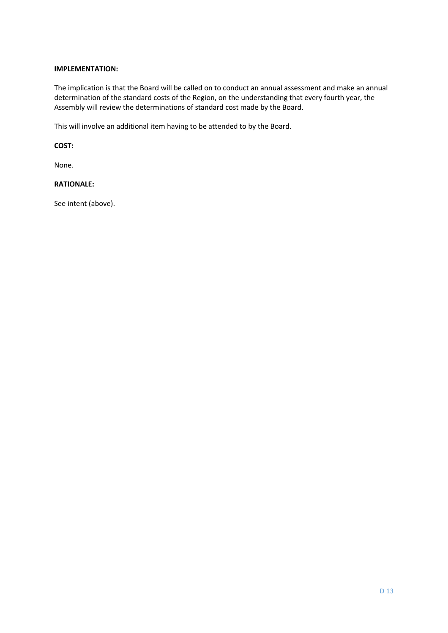# **IMPLEMENTATION:**

The implication is that the Board will be called on to conduct an annual assessment and make an annual determination of the standard costs of the Region, on the understanding that every fourth year, the Assembly will review the determinations of standard cost made by the Board.

This will involve an additional item having to be attended to by the Board.

#### **COST:**

None.

# **RATIONALE:**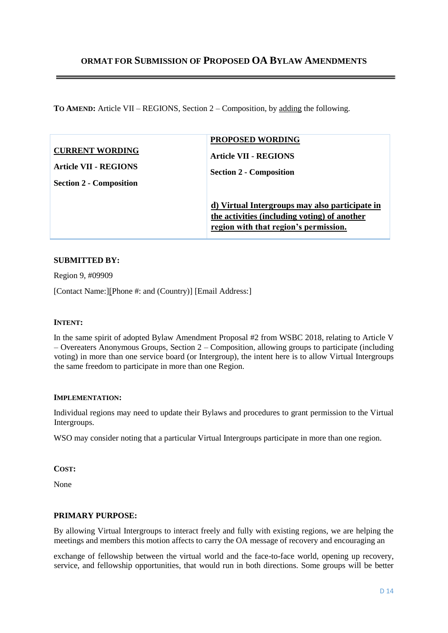# **ORMAT FOR SUBMISSION OF PROPOSED OA BYLAW AMENDMENTS**

**TO AMEND:** Article VII – REGIONS, Section 2 – Composition, by adding the following.

| <b>CURRENT WORDING</b>         | <b>PROPOSED WORDING</b>                                                                                                                 |
|--------------------------------|-----------------------------------------------------------------------------------------------------------------------------------------|
| Article VII - REGIONS          | <b>Article VII - REGIONS</b>                                                                                                            |
| <b>Section 2 - Composition</b> | <b>Section 2 - Composition</b>                                                                                                          |
|                                | d) Virtual Intergroups may also participate in<br>the activities (including voting) of another<br>region with that region's permission. |

# **SUBMITTED BY:**

Region 9, #09909

[Contact Name:][Phone #: and (Country)] [Email Address:]

# **INTENT:**

In the same spirit of adopted Bylaw Amendment Proposal #2 from WSBC 2018, relating to Article V – Overeaters Anonymous Groups, Section 2 – Composition, allowing groups to participate (including voting) in more than one service board (or Intergroup), the intent here is to allow Virtual Intergroups the same freedom to participate in more than one Region.

#### **IMPLEMENTATION:**

Individual regions may need to update their Bylaws and procedures to grant permission to the Virtual Intergroups.

WSO may consider noting that a particular Virtual Intergroups participate in more than one region.

# **COST:**

None

# **PRIMARY PURPOSE:**

By allowing Virtual Intergroups to interact freely and fully with existing regions, we are helping the meetings and members this motion affects to carry the OA message of recovery and encouraging an

exchange of fellowship between the virtual world and the face-to-face world, opening up recovery, service, and fellowship opportunities, that would run in both directions. Some groups will be better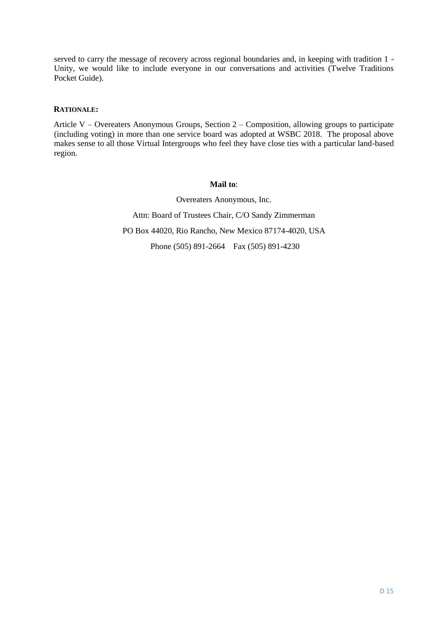served to carry the message of recovery across regional boundaries and, in keeping with tradition 1 - Unity, we would like to include everyone in our conversations and activities (Twelve Traditions Pocket Guide).

# **RATIONALE:**

Article V – Overeaters Anonymous Groups, Section 2 – Composition, allowing groups to participate (including voting) in more than one service board was adopted at WSBC 2018. The proposal above makes sense to all those Virtual Intergroups who feel they have close ties with a particular land-based region.

# **Mail to**:

Overeaters Anonymous, Inc. Attn: Board of Trustees Chair, C/O Sandy Zimmerman PO Box 44020, Rio Rancho, New Mexico 87174-4020, USA Phone (505) 891-2664 Fax (505) 891-4230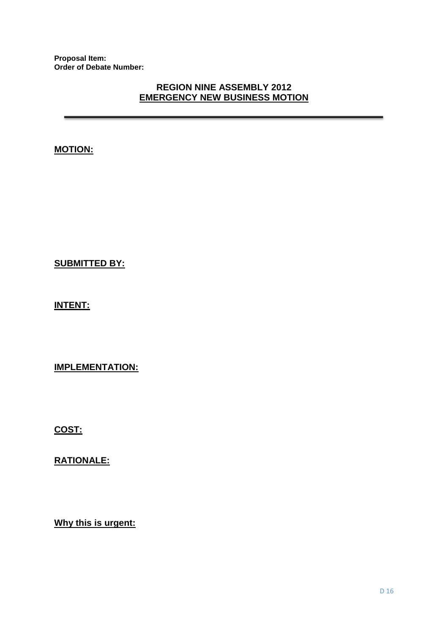**Proposal Item: Order of Debate Number:**

# **REGION NINE ASSEMBLY 2012 EMERGENCY NEW BUSINESS MOTION**

**MOTION:**

**SUBMITTED BY:**

**INTENT:**

**IMPLEMENTATION:**

**COST:**

**RATIONALE:**

**Why this is urgent:**